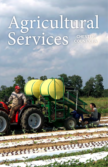# Agricultural Services COUNTY, P. **COUNTY, PA**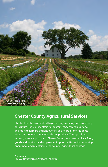

# **Chester County Agricultural Services**

Chester County is committed to preserving, assisting and promoting agriculture. The County offers tax abatement, technical assistance and more to farmers and landowners, and helps inform residents about and connect them to local farm products. The agricultural industry is very important to Chester County as it provides local food, goods and services, and employment opportunities while preserving open space and maintaining the county's agricultural heritage.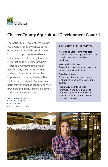

# **Chester County Agricultural Development Council**

The Agricultural Development Council (Ag Council) raises awareness of the economic impact of the local farming industry and promotes excellence in farming. It assists county farmers in marketing their businesses, helps create an environment to attract new farmers, and informs residents and municipal officials about the importance of local agriculture. The Ag Council, through its Ag Task Force, partners with other agricultural service providers and producers to collectively address agricultural issues.

#### [www.chescofarming.org](http://www.chescofarming.org)  [www.chesco/agdev](http://www.chesco/agdev)  610-344-6285 e-mail: adc@chesco.org

## **AGRICULTURAL SERVICES**

**A Guide to Local Farm Products** A printed brochure updated annually to help people find local farm products.

## **Farm and Table Tales**

An on-line consumer series hosted in partnership with a task force.

#### **Excellence Awards**

A Farmer of the Year award and a Distinguished Service to Agriculture award.

**Farming Facts Info Sheets** Information and data on a wide range of topics from Pennsylvania agricultural legislation to raising backyard chickens.

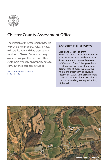

# **Chester County Assessment Office**

The mission of the Assessment Office is to provide real property valuation, tax roll certification and data distribution services to Chester County property owners, taxing authorities and other customers who rely on property data to carry out their business activities.

[www.chesco.org/assessment](http://www.chesco.org/assessment)  610-344-6105

## **AGRICULTURAL SERVICES**

#### **Clean and Green Program**

The Assessment Office administers Act 319, the PA Farmland and Forest Land Assessment Act, commonly referred to as "Clean and Green", that provides tax relief to owners of agricultural parcels greater than 10 acres in area with a minimum gross yearly agricultural income of \$2,000. Land assessment is based on the agricultural use value of the land according to the productivity of the soil.

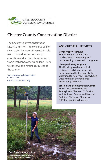

## **Chester County Conservation District**

The Chester County Conservation District's mission is to conserve soil for clean water by promoting sustainable use of natural resources through education and technical assistance. It works with landowners and land users to conserve the natural resources of the county.

[www.chesco.org/Conservation](http://www.chesco.org/Conservation) 610-925-4920 e-mail: ccsoil@chesco.org

## **AGRICULTURAL SERVICES**

**Conservation Planning** Staff works with farmers and

local citizens in developing and implementing conservation programs.

#### **Chesapeake Bay Program**

The District provides technical assistance and design services to farmers within the Chesapeake Bay watershed to help meet Pennsylvania Department of Environmental Protection (DEP) goals.

**Erosion and Sedimentation Control** The District administers the Pennsylvania Chapter 102 Erosion and Sediment Control and National Pollutant Discharge Elimination (NPDES) Permitting Program.

*Paige LaDuca surveying for a stream crossing on a farm in West Sadsbury Township*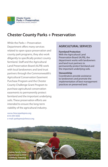

# **Chester County Parks + Preservation**

While the Parks + Preservation Department offers many services related to open space preservation and county park programs, they also work diligently to specifically protect county farmland. Staff and the Agricultural Land Preservation Board (ALPB) work with local landowners and land trust partners through the Commonwealth's Agricultural Conservation Easement Purchase Program and the Chester County Challenge Grant Program to purchase agricultural conservation easements to permanently protect farmland and the important underlying soils. These preservation efforts are intended to ensure the long-term viability of the agricultural industry.

## **AGRICULTURAL SERVICES**

#### **Farmland Protection**

With the Agricultural Land Preservation Board (ALPB), the department works with landowners and land trust partners to permanently protect farmland and the important underlying soils.

#### **Stewardship**

Coordinators provide assistance to landowners and promote the implementation of best management practices on preserved land.

[www.chescoparkspres.org](http://www.chescoparkspres.org) 610-344-5656 e-mail: parkspres@chesco.org

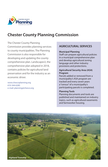

# **Chester County Planning Commission**

The Chester County Planning Commission provides planning services to county municipalities. The Planning Commission is also responsible for developing and updating the county comprehensive plan. Landscapes3, the comprehensive plan adopted in 2018, contains policies for agricultural land preservation and for the industry as an economic driver.

[www.chescoplanning.org](http://www.chescoplanning.org)  610-344-6285 e-mail: planning@chesco.org

### **AGRICULTURAL SERVICES**

#### **Municipal Planning**

Staff can prepare agricultural policies in a municipal comprehensive plan and develop agricultural zoning language and other industry provisions and protections.

#### **Agricultural Security Area (ASA) Program**

Parcels added or removed from a municipality's ASA program are tracked and every seven years a "census" of a municipality's participating parcels is completed.

#### **Planning Tools**

Planning documents and tools are published and maintained on industry topics, such as agricultural easements and farmworker housing.